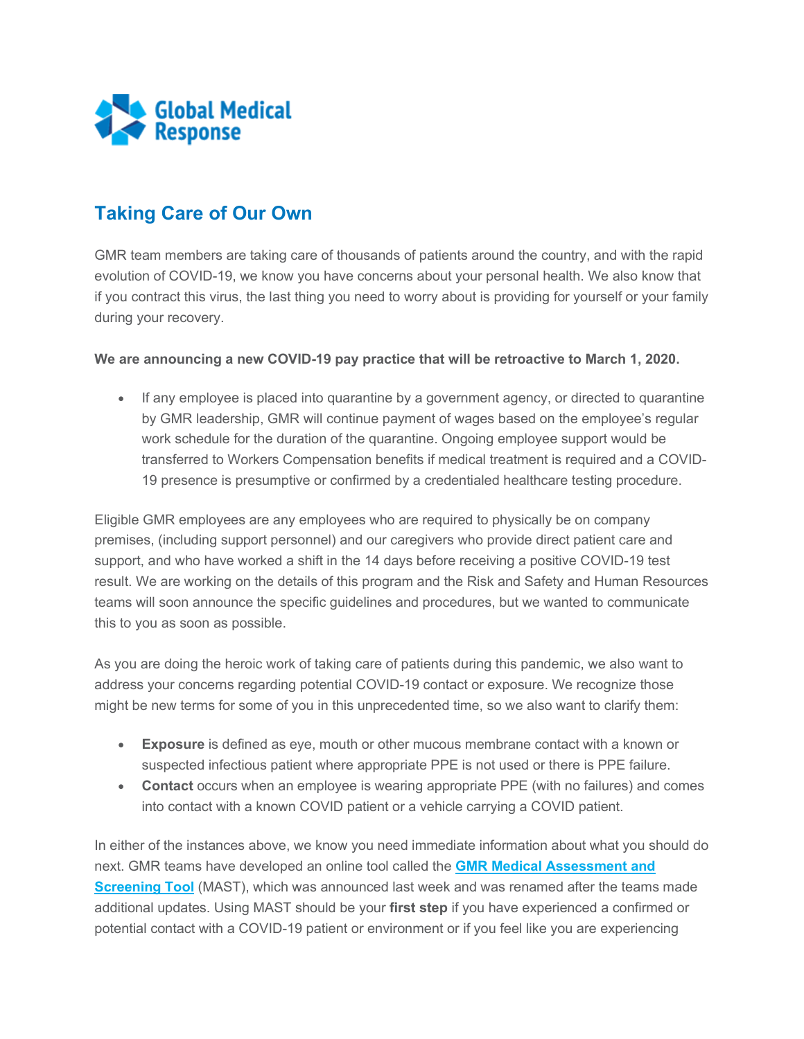

## **Taking Care of Our Own**

GMR team members are taking care of thousands of patients around the country, and with the rapid evolution of COVID-19, we know you have concerns about your personal health. We also know that if you contract this virus, the last thing you need to worry about is providing for yourself or your family during your recovery.

## **We are announcing a new COVID-19 pay practice that will be retroactive to March 1, 2020.**

• If any employee is placed into quarantine by a government agency, or directed to quarantine by GMR leadership, GMR will continue payment of wages based on the employee's regular work schedule for the duration of the quarantine. Ongoing employee support would be transferred to Workers Compensation benefits if medical treatment is required and a COVID-19 presence is presumptive or confirmed by a credentialed healthcare testing procedure.

Eligible GMR employees are any employees who are required to physically be on company premises, (including support personnel) and our caregivers who provide direct patient care and support, and who have worked a shift in the 14 days before receiving a positive COVID-19 test result. We are working on the details of this program and the Risk and Safety and Human Resources teams will soon announce the specific guidelines and procedures, but we wanted to communicate this to you as soon as possible.

As you are doing the heroic work of taking care of patients during this pandemic, we also want to address your concerns regarding potential COVID-19 contact or exposure. We recognize those might be new terms for some of you in this unprecedented time, so we also want to clarify them:

- **Exposure** is defined as eye, mouth or other mucous membrane contact with a known or suspected infectious patient where appropriate PPE is not used or there is PPE failure.
- **Contact** occurs when an employee is wearing appropriate PPE (with no failures) and comes into contact with a known COVID patient or a vehicle carrying a COVID patient.

In either of the instances above, we know you need immediate information about what you should do next. GMR teams have developed an online tool called the **[GMR Medical Assessment and](https://staging-myportal.amr.net/CMSModules/Newsletters/CMSPages/Redirect.ashx?linkguid=da576dbb-413f-4f9d-a8ec-1b5878328f83&email=Peggy.Norton%40gmr.net&hash=e293208d4f83632d24fb72e6963e4afb3392845653940ab58c0e51d0eeedcd89)  [Screening Tool](https://staging-myportal.amr.net/CMSModules/Newsletters/CMSPages/Redirect.ashx?linkguid=da576dbb-413f-4f9d-a8ec-1b5878328f83&email=Peggy.Norton%40gmr.net&hash=e293208d4f83632d24fb72e6963e4afb3392845653940ab58c0e51d0eeedcd89)** (MAST), which was announced last week and was renamed after the teams made additional updates. Using MAST should be your **first step** if you have experienced a confirmed or potential contact with a COVID-19 patient or environment or if you feel like you are experiencing